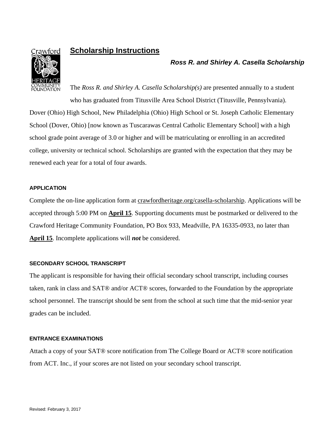

# **Scholarship Instructions**

## *Ross R. and Shirley A. Casella Scholarship*

The *Ross R. and Shirley A. Casella Scholarship(s)* are presented annually to a student who has graduated from Titusville Area School District (Titusville, Pennsylvania). Dover (Ohio) High School, New Philadelphia (Ohio) High School or St. Joseph Catholic Elementary School (Dover, Ohio) [now known as Tuscarawas Central Catholic Elementary School] with a high school grade point average of 3.0 or higher and will be matriculating or enrolling in an accredited college, university or technical school. Scholarships are granted with the expectation that they may be renewed each year for a total of four awards.

#### **APPLICATION**

Complete the on-line application form at crawfordheritage.org/casella-scholarship. Applications will be accepted through 5:00 PM on **April 15**. Supporting documents must be postmarked or delivered to the Crawford Heritage Community Foundation, PO Box 933, Meadville, PA 16335-0933, no later than **April 15**. Incomplete applications will *not* be considered.

#### **SECONDARY SCHOOL TRANSCRIPT**

The applicant is responsible for having their official secondary school transcript, including courses taken, rank in class and SAT® and/or ACT® scores, forwarded to the Foundation by the appropriate school personnel. The transcript should be sent from the school at such time that the mid-senior year grades can be included.

#### **ENTRANCE EXAMINATIONS**

Attach a copy of your SAT® score notification from The College Board or ACT® score notification from ACT. Inc., if your scores are not listed on your secondary school transcript.